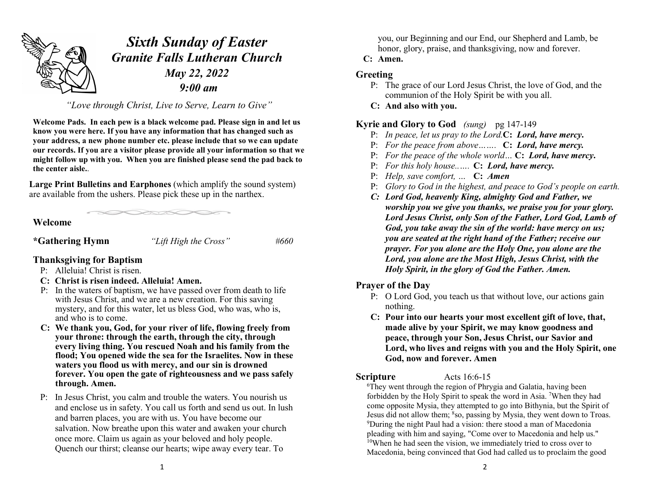

# Sixth Sunday of Easter Granite Falls Lutheran Church May 22, 2022 9:00 am

"Love through Christ, Live to Serve, Learn to Give"

Welcome Pads. In each pew is a black welcome pad. Please sign in and let us know you were here. If you have any information that has changed such as your address, a new phone number etc. please include that so we can update our records. If you are a visitor please provide all your information so that we might follow up with you. When you are finished please send the pad back to the center aisle..

Large Print Bulletins and Earphones (which amplify the sound system) are available from the ushers. Please pick these up in the narthex.



Welcome

\*Gathering Hymn  $"Lift High the Cross"$   $#660$ 

# Thanksgiving for Baptism

- P: Alleluia! Christ is risen.
- C: Christ is risen indeed. Alleluia! Amen.
- P: In the waters of baptism, we have passed over from death to life with Jesus Christ, and we are a new creation. For this saving mystery, and for this water, let us bless God, who was, who is, and who is to come.
- C: We thank you, God, for your river of life, flowing freely from your throne: through the earth, through the city, through every living thing. You rescued Noah and his family from the flood; You opened wide the sea for the Israelites. Now in these waters you flood us with mercy, and our sin is drowned forever. You open the gate of righteousness and we pass safely through. Amen.
- P: In Jesus Christ, you calm and trouble the waters. You nourish us and enclose us in safety. You call us forth and send us out. In lush and barren places, you are with us. You have become our salvation. Now breathe upon this water and awaken your church once more. Claim us again as your beloved and holy people. Quench our thirst; cleanse our hearts; wipe away every tear. To

you, our Beginning and our End, our Shepherd and Lamb, be honor, glory, praise, and thanksgiving, now and forever.

C: Amen.

# Greeting

- P: The grace of our Lord Jesus Christ, the love of God, and the communion of the Holy Spirit be with you all.
- C: And also with you.

# Kyrie and Glory to God (sung) pg 147-149

- P: In peace, let us pray to the Lord.C: Lord, have mercy.
- P: For the peace from above……. C: Lord, have mercy.
- P: For the peace of the whole world… C: Lord, have mercy.
- P: For this holy house...... C: Lord, have mercy.
- P: Help, save comfort, … C: Amen
- P: Glory to God in the highest, and peace to God's people on earth.
- C: Lord God, heavenly King, almighty God and Father, we worship you we give you thanks, we praise you for your glory. Lord Jesus Christ, only Son of the Father, Lord God, Lamb of God, you take away the sin of the world: have mercy on us; you are seated at the right hand of the Father; receive our prayer. For you alone are the Holy One, you alone are the Lord, you alone are the Most High, Jesus Christ, with the Holy Spirit, in the glory of God the Father. Amen.

# Prayer of the Day

- P: O Lord God, you teach us that without love, our actions gain nothing.
- C: Pour into our hearts your most excellent gift of love, that, made alive by your Spirit, we may know goodness and peace, through your Son, Jesus Christ, our Savior and Lord, who lives and reigns with you and the Holy Spirit, one God, now and forever. Amen

# Scripture Acts 16:6-15

<sup>6</sup>They went through the region of Phrygia and Galatia, having been forbidden by the Holy Spirit to speak the word in Asia. <sup>7</sup>When they had come opposite Mysia, they attempted to go into Bithynia, but the Spirit of Jesus did not allow them; <sup>8</sup>so, passing by Mysia, they went down to Troas. <sup>9</sup>During the night Paul had a vision: there stood a man of Macedonia pleading with him and saying, "Come over to Macedonia and help us." <sup>10</sup>When he had seen the vision, we immediately tried to cross over to Macedonia, being convinced that God had called us to proclaim the good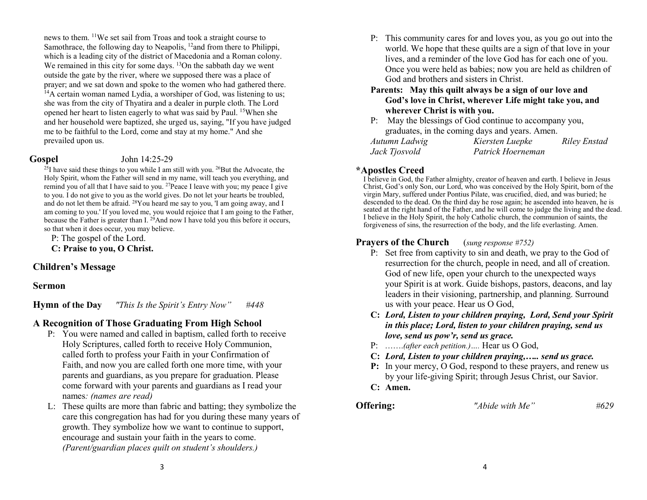news to them. <sup>11</sup>We set sail from Troas and took a straight course to Samothrace, the following day to Neapolis, <sup>12</sup> and from there to Philippi, which is a leading city of the district of Macedonia and a Roman colony. We remained in this city for some days. <sup>13</sup>On the sabbath day we went outside the gate by the river, where we supposed there was a place of prayer; and we sat down and spoke to the women who had gathered there. <sup>14</sup>A certain woman named Lydia, a worshiper of God, was listening to us; she was from the city of Thyatira and a dealer in purple cloth. The Lord opened her heart to listen eagerly to what was said by Paul. <sup>15</sup>When she and her household were baptized, she urged us, saying, "If you have judged me to be faithful to the Lord, come and stay at my home." And she prevailed upon us.

#### Gospel John 14:25-29

 $25I$  have said these things to you while I am still with you.  $26But$  the Advocate, the Holy Spirit, whom the Father will send in my name, will teach you everything, and remind you of all that I have said to you. <sup>27</sup>Peace I leave with you; my peace I give to you. I do not give to you as the world gives. Do not let your hearts be troubled, and do not let them be afraid. <sup>28</sup>You heard me say to you, 'I am going away, and I am coming to you.' If you loved me, you would rejoice that I am going to the Father, because the Father is greater than I.<sup>29</sup>And now I have told you this before it occurs, so that when it does occur, you may believe.

P: The gospel of the Lord.

C: Praise to you, O Christ.

# Children's Message

#### Sermon

**Hymn of the Day** "This Is the Spirit's Entry Now"  $#448$ 

#### A Recognition of Those Graduating From High School

- P: You were named and called in baptism, called forth to receive Holy Scriptures, called forth to receive Holy Communion, called forth to profess your Faith in your Confirmation of Faith, and now you are called forth one more time, with your parents and guardians, as you prepare for graduation. Please come forward with your parents and guardians as I read your names: (names are read)
- L: These quilts are more than fabric and batting; they symbolize the care this congregation has had for you during these many years of growth. They symbolize how we want to continue to support, encourage and sustain your faith in the years to come. (Parent/guardian places quilt on student's shoulders.)

P: This community cares for and loves you, as you go out into the world. We hope that these quilts are a sign of that love in your lives, and a reminder of the love God has for each one of you. Once you were held as babies; now you are held as children of God and brothers and sisters in Christ.

#### Parents: May this quilt always be a sign of our love and God's love in Christ, wherever Life might take you, and wherever Christ is with you.

P: May the blessings of God continue to accompany you, graduates, in the coming days and years. Amen.

| Autumn Ladwig | Kiersten Luepke   | Riley Enstad |
|---------------|-------------------|--------------|
| Jack Tjosvold | Patrick Hoerneman |              |

### \*Apostles Creed

I believe in God, the Father almighty, creator of heaven and earth. I believe in Jesus Christ, God's only Son, our Lord, who was conceived by the Holy Spirit, born of the virgin Mary, suffered under Pontius Pilate, was crucified, died, and was buried; he descended to the dead. On the third day he rose again; he ascended into heaven, he is seated at the right hand of the Father, and he will come to judge the living and the dead. I believe in the Holy Spirit, the holy Catholic church, the communion of saints, the forgiveness of sins, the resurrection of the body, and the life everlasting. Amen.

# Prayers of the Church (sung response #752)

- P: Set free from captivity to sin and death, we pray to the God of resurrection for the church, people in need, and all of creation. God of new life, open your church to the unexpected ways your Spirit is at work. Guide bishops, pastors, deacons, and lay leaders in their visioning, partnership, and planning. Surround us with your peace. Hear us O God,
- C: Lord, Listen to your children praying, Lord, Send your Spirit in this place; Lord, listen to your children praying, send us love, send us pow'r, send us grace.
- P: …….(after each petition.)…. Hear us O God,
- C: Lord, Listen to your children praying,….. send us grace.
- P: In your mercy, O God, respond to these prayers, and renew us by your life-giving Spirit; through Jesus Christ, our Savior.
- C: Amen.

**Offering:** "Abide with Me" #629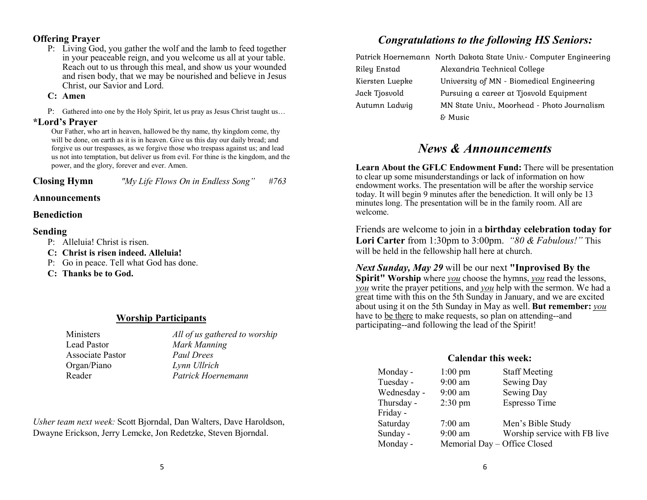### Offering Prayer

- P: Living God, you gather the wolf and the lamb to feed together in your peaceable reign, and you welcome us all at your table. Reach out to us through this meal, and show us your wounded and risen body, that we may be nourished and believe in Jesus Christ, our Savior and Lord.
- C: Amen
- P: Gathered into one by the Holy Spirit, let us pray as Jesus Christ taught us…

#### \*Lord's Prayer

Our Father, who art in heaven, hallowed be thy name, thy kingdom come, thy will be done, on earth as it is in heaven. Give us this day our daily bread; and forgive us our trespasses, as we forgive those who trespass against us; and lead us not into temptation, but deliver us from evil. For thine is the kingdom, and the power, and the glory, forever and ever. Amen.

**Closing Hymn** "*My Life Flows On in Endless Song*"  $#763$ 

#### **Announcements**

#### **Benediction**

#### Sending

- P: Alleluia! Christ is risen.
- C: Christ is risen indeed. Alleluia!
- P: Go in peace. Tell what God has done.
- C: Thanks be to God.

#### Worship Participants

Ministers *All of us gathered to worship* Lead Pastor Mark Manning Associate Pastor Paul Drees Organ/Piano Lynn Ullrich Reader Patrick Hoernemann

Usher team next week: Scott Bjorndal, Dan Walters, Dave Haroldson, Dwayne Erickson, Jerry Lemcke, Jon Redetzke, Steven Bjorndal.

# Congratulations to the following HS Seniors:

Patrick Hoernemann North Dakota State Univ.- Computer Engineering Riley Enstad Alexandria Technical College Kiersten Luepke University of MN - Biomedical Engineering Jack Tjosvold Pursuing a career at Tjosvold Equipment Autumn Ladwig MN State Univ., Moorhead - Photo Journalism

& Music

# News & Announcements

Learn About the GFLC Endowment Fund: There will be presentation to clear up some misunderstandings or lack of information on how endowment works. The presentation will be after the worship service today. It will begin 9 minutes after the benediction. It will only be 13 minutes long. The presentation will be in the family room. All are welcome.

Friends are welcome to join in a birthday celebration today for Lori Carter from 1:30pm to 3:00pm. "80  $\&$  Fabulous!" This will be held in the fellowship hall here at church.

Next Sunday, May 29 will be our next "Inprovised By the Spirit" Worship where *you* choose the hymns, *you* read the lessons, you write the prayer petitions, and you help with the sermon. We had a great time with this on the 5th Sunday in January, and we are excited about using it on the 5th Sunday in May as well. But remember: you have to be there to make requests, so plan on attending--and participating--and following the lead of the Spirit!

#### Calendar this week:

| Monday -    | $1:00 \text{ pm}$            | <b>Staff Meeting</b>         |
|-------------|------------------------------|------------------------------|
| Tuesday -   | $9:00$ am                    | Sewing Day                   |
| Wednesday - | $9:00$ am                    | Sewing Day                   |
| Thursday -  | $2:30 \text{ pm}$            | Espresso Time                |
| Friday -    |                              |                              |
| Saturday    | $7:00$ am                    | Men's Bible Study            |
| Sunday -    | $9:00$ am                    | Worship service with FB live |
| Monday -    | Memorial Day - Office Closed |                              |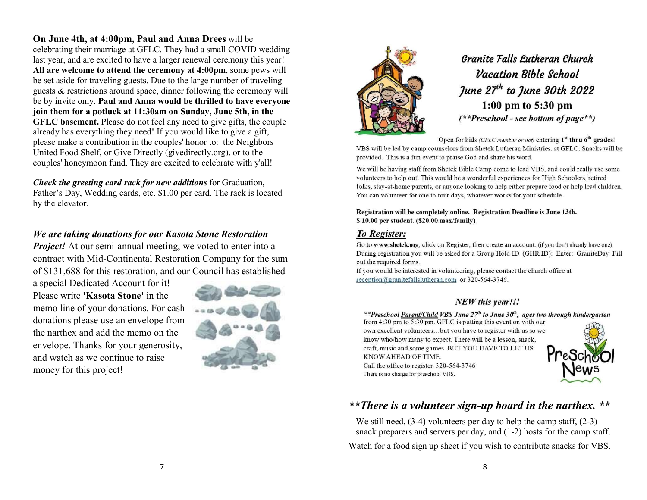On June 4th, at 4:00pm, Paul and Anna Drees will be celebrating their marriage at GFLC. They had a small COVID wedding last year, and are excited to have a larger renewal ceremony this year! All are welcome to attend the ceremony at 4:00pm, some pews will be set aside for traveling guests. Due to the large number of traveling guests & restrictions around space, dinner following the ceremony will be by invite only. Paul and Anna would be thrilled to have everyone join them for a potluck at 11:30am on Sunday, June 5th, in the GFLC basement. Please do not feel any need to give gifts, the couple already has everything they need! If you would like to give a gift, please make a contribution in the couples' honor to: the Neighbors United Food Shelf, or Give Directly (givedirectly.org), or to the couples' honeymoon fund. They are excited to celebrate with y'all!

Check the greeting card rack for new additions for Graduation, Father's Day, Wedding cards, etc. \$1.00 per card. The rack is located by the elevator.

# We are taking donations for our Kasota Stone Restoration

**Project!** At our semi-annual meeting, we voted to enter into a contract with Mid-Continental Restoration Company for the sum of \$131,688 for this restoration, and our Council has established

a special Dedicated Account for it! Please write 'Kasota Stone' in the memo line of your donations. For cash donations please use an envelope from the narthex and add the memo on the envelope. Thanks for your generosity, and watch as we continue to raise money for this project!





Granite Falls Putheran Church **Vacation Bible School** June  $27^{th}$  to June 30th 2022  $1:00$  pm to 5:30 pm  $(**Preschool - see bottom of page **)$ 

Open for kids (GFLC member or not) entering 1<sup>st</sup> thru 6<sup>th</sup> grades!

VBS will be led by camp counselors from Shetek Lutheran Ministries, at GFLC, Snacks will be provided. This is a fun event to praise God and share his word.

We will be having staff from Shetek Bible Camp come to lead VBS, and could really use some volunteers to help out! This would be a wonderful experiences for High Schoolers, retired folks, stay-at-home parents, or anyone looking to help either prepare food or help lead children. You can volunteer for one to four days, whatever works for your schedule.

#### Registration will be completely online. Registration Deadline is June 13th. \$10.00 per student. (\$20.00 max/family)

# **To Register:**

Go to www.shetek.org. click on Register, then create an account, (if you don't already have one) During registration you will be asked for a Group Hold ID (GHR ID): Enter: GraniteDay Fill out the required forms.

If you would be interested in volunteering, please contact the church office at reception@granitefallslutheran.com or 320-564-3746.

#### NEW this year!!!

\*\*Preschool Parent/Child VBS June  $27<sup>th</sup>$  to June  $30<sup>th</sup>$ , ages two through kindergarten

from 4:30 pm to  $5:30$  pm. GFLC is putting this event on with our own excellent volunteers...but you have to register with us so we know who/how many to expect. There will be a lesson, snack. craft, music and some games. BUT YOU HAVE TO LET US KNOW AHEAD OF TIME. Call the office to register. 320-564-3746 There is no charge for preschool VBS.



# \*\*There is a volunteer sign-up board in the narthex. \*\*

We still need, (3-4) volunteers per day to help the camp staff, (2-3) snack preparers and servers per day, and (1-2) hosts for the camp staff. Watch for a food sign up sheet if you wish to contribute snacks for VBS.